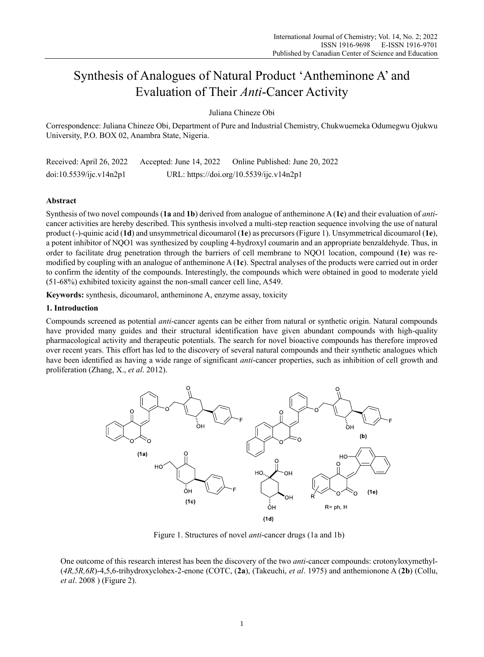# Synthesis of Analogues of Natural Product 'Antheminone A' and Evaluation of Their *Anti*-Cancer Activity

Juliana Chineze Obi

Correspondence: Juliana Chineze Obi, Department of Pure and Industrial Chemistry, Chukwuemeka Odumegwu Ojukwu University, P.O. BOX 02, Anambra State, Nigeria.

Received: April 26, 2022 Accepted: June 14, 2022 Online Published: June 20, 2022 doi:10.5539/ijc.v14n2p1 URL: https://doi.org/10.5539/ijc.v14n2p1

# **Abstract**

Synthesis of two novel compounds (**1a** and **1b**) derived from analogue of antheminone A (**1c**) and their evaluation of *anti*cancer activities are hereby described. This synthesis involved a multi-step reaction sequence involving the use of natural product (-)-quinic acid (**1d**) and unsymmetrical dicoumarol (**1e**) as precursors (Figure 1). Unsymmetrical dicoumarol (**1e**), a potent inhibitor of NQO1 was synthesized by coupling 4-hydroxyl coumarin and an appropriate benzaldehyde. Thus, in order to facilitate drug penetration through the barriers of cell membrane to NQO1 location, compound (**1e**) was remodified by coupling with an analogue of antheminone A (**1c**). Spectral analyses of the products were carried out in order to confirm the identity of the compounds. Interestingly, the compounds which were obtained in good to moderate yield (51-68%) exhibited toxicity against the non-small cancer cell line, A549.

**Keywords:** synthesis, dicoumarol, antheminone A, enzyme assay, toxicity

# **1. Introduction**

Compounds screened as potential *anti*-cancer agents can be either from natural or synthetic origin. Natural compounds have provided many guides and their structural identification have given abundant compounds with high-quality pharmacological activity and therapeutic potentials. The search for novel bioactive compounds has therefore improved over recent years. This effort has led to the discovery of several natural compounds and their synthetic analogues which have been identified as having a wide range of significant *anti*-cancer properties, such as inhibition of cell growth and proliferation (Zhang, X., *et al*. 2012).



Figure 1. Structures of novel *anti*-cancer drugs (1a and 1b)

One outcome of this research interest has been the discovery of the two *anti*-cancer compounds: crotonyloxymethyl- (*4R,5R,6R*)-4,5,6-trihydroxyclohex-2-enone (COTC, (**2a**), (Takeuchi, *et al*. 1975) and anthemionone A (**2b**) (Collu, *et al*. 2008 ) (Figure 2).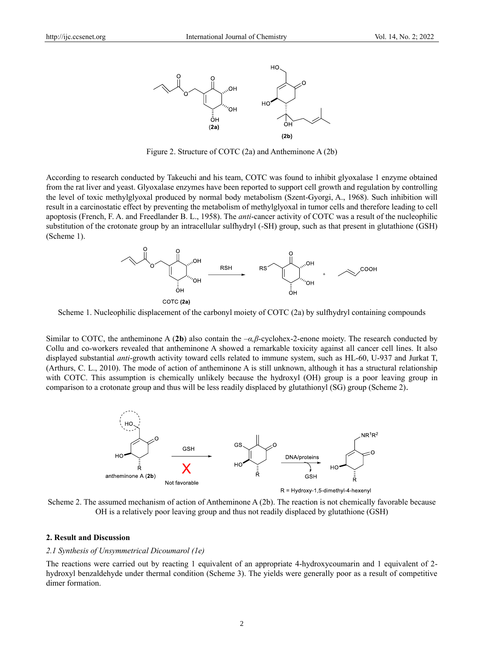

Figure 2. Structure of COTC (2a) and Antheminone A (2b)

According to research conducted by Takeuchi and his team, COTC was found to inhibit glyoxalase 1 enzyme obtained from the rat liver and yeast. Glyoxalase enzymes have been reported to support cell growth and regulation by controlling the level of toxic methylglyoxal produced by normal body metabolism (Szent-Gyorgi, A., 1968). Such inhibition will result in a carcinostatic effect by preventing the metabolism of methylglyoxal in tumor cells and therefore leading to cell apoptosis (French, F. A. and Freedlander B. L., 1958). The *anti*-cancer activity of COTC was a result of the nucleophilic substitution of the crotonate group by an intracellular sulfhydryl (-SH) group, such as that present in glutathione (GSH) (Scheme 1).



Scheme 1. Nucleophilic displacement of the carbonyl moiety of COTC (2a) by sulfhydryl containing compounds

Similar to COTC, the antheminone A (**2b**) also contain the –*α,β*-cyclohex-2-enone moiety. The research conducted by Collu and co-workers revealed that antheminone A showed a remarkable toxicity against all cancer cell lines. It also displayed substantial *anti*-growth activity toward cells related to immune system, such as HL-60, U-937 and Jurkat T, (Arthurs, C. L., 2010). The mode of action of antheminone A is still unknown, although it has a structural relationship with COTC. This assumption is chemically unlikely because the hydroxyl (OH) group is a poor leaving group in comparison to a crotonate group and thus will be less readily displaced by glutathionyl (SG) group (Scheme 2).



Scheme 2. The assumed mechanism of action of Antheminone A (2b). The reaction is not chemically favorable because OH is a relatively poor leaving group and thus not readily displaced by glutathione (GSH)

#### **2. Result and Discussion**

## *2.1 Synthesis of Unsymmetrical Dicoumarol (1e)*

The reactions were carried out by reacting 1 equivalent of an appropriate 4-hydroxycoumarin and 1 equivalent of 2 hydroxyl benzaldehyde under thermal condition (Scheme 3). The yields were generally poor as a result of competitive dimer formation.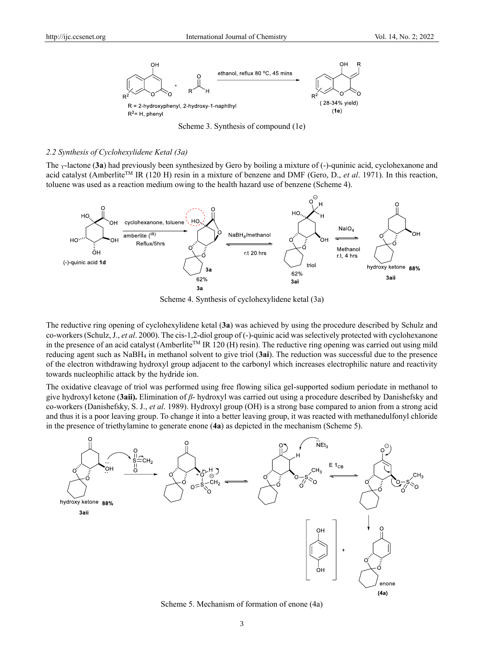

Scheme 3. Synthesis of compound (1e)

#### *2.2 Synthesis of Cyclohexylidene Ketal (3a)*

The <sub>Y</sub>-lactone (3a) had previously been synthesized by Gero by boiling a mixture of (-)-quninic acid, cyclohexanone and acid catalyst (AmberliteTM IR (120 H) resin in a mixture of benzene and DMF (Gero, D., *et al*. 1971). In this reaction, toluene was used as a reaction medium owing to the health hazard use of benzene (Scheme 4).



Scheme 4. Synthesis of cyclohexylidene ketal (3a)

The reductive ring opening of cyclohexylidene ketal (**3a**) was achieved by using the procedure described by Schulz and co-workers (Schulz, J., *et al*. 2000). The cis-1,2-diol group of (-)-quinic acid was selectively protected with cyclohexanone in the presence of an acid catalyst (Amberlite<sup>TM</sup> IR 120 (H) resin). The reductive ring opening was carried out using mild reducing agent such as NaBH<sup>4</sup> in methanol solvent to give triol (**3ai**). The reduction was successful due to the presence of the electron withdrawing hydroxyl group adjacent to the carbonyl which increases electrophilic nature and reactivity towards nucleophilic attack by the hydride ion.

The oxidative cleavage of triol was performed using free flowing silica gel-supported sodium periodate in methanol to give hydroxyl ketone (**3aii).** Elimination of *β*- hydroxyl was carried out using a procedure described by Danishefsky and co-workers (Danishefsky, S. J., *et al*. 1989). Hydroxyl group (OH) is a strong base compared to anion from a strong acid and thus it is a poor leaving group. To change it into a better leaving group, it was reacted with methanedulfonyl chloride in the presence of triethylamine to generate enone (**4a**) as depicted in the mechanism (Scheme 5).



Scheme 5. Mechanism of formation of enone (4a)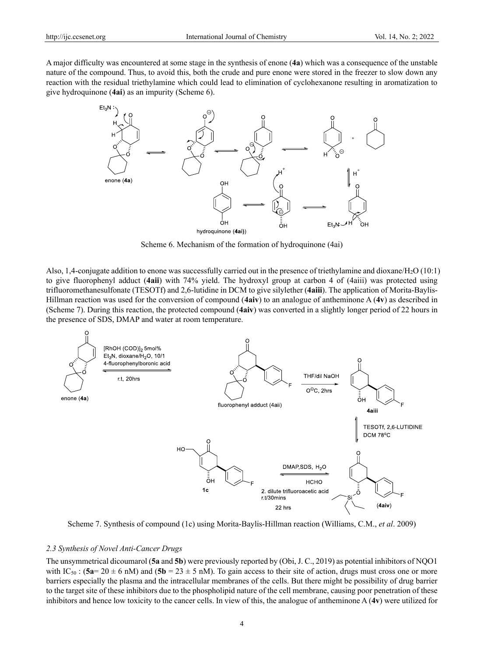A major difficulty was encountered at some stage in the synthesis of enone (**4a**) which was a consequence of the unstable nature of the compound. Thus, to avoid this, both the crude and pure enone were stored in the freezer to slow down any reaction with the residual triethylamine which could lead to elimination of cyclohexanone resulting in aromatization to give hydroquinone (**4ai**) as an impurity (Scheme 6).



Scheme 6. Mechanism of the formation of hydroquinone (4ai)

Also, 1,4-conjugate addition to enone was successfully carried out in the presence of triethylamine and dioxane/H<sub>2</sub>O (10:1) to give fluorophenyl adduct (**4aii**) with 74% yield. The hydroxyl group at carbon 4 of (4aiii) was protected using trifluoromethanesulfonate (TESOTf) and 2,6-lutidine in DCM to give silylether (**4aiii**). The application of Morita-Baylis-Hillman reaction was used for the conversion of compound (**4aiv**) to an analogue of antheminone A (**4v**) as described in (Scheme 7). During this reaction, the protected compound (**4aiv**) was converted in a slightly longer period of 22 hours in the presence of SDS, DMAP and water at room temperature.



Scheme 7. Synthesis of compound (1c) using Morita-Baylis-Hillman reaction (Williams, C.M., *et al*. 2009)

## *2.3 Synthesis of Novel Anti-Cancer Drugs*

The unsymmetrical dicoumarol (**5a** and **5b**) were previously reported by (Obi, J. C., 2019) as potential inhibitors of NQO1 with IC<sub>50</sub>:  $(5a=20 \pm 6 \text{ nM})$  and  $(5b=23 \pm 5 \text{ nM})$ . To gain access to their site of action, drugs must cross one or more barriers especially the plasma and the intracellular membranes of the cells. But there might be possibility of drug barrier to the target site of these inhibitors due to the phospholipid nature of the cell membrane, causing poor penetration of these inhibitors and hence low toxicity to the cancer cells. In view of this, the analogue of antheminone A (**4v**) were utilized for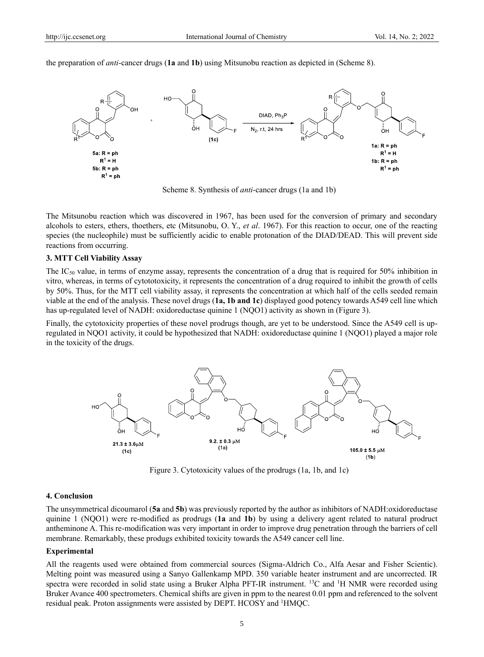the preparation of *anti*-cancer drugs (**1a** and **1b**) using Mitsunobu reaction as depicted in (Scheme 8).



Scheme 8. Synthesis of *anti*-cancer drugs (1a and 1b)

The Mitsunobu reaction which was discovered in 1967, has been used for the conversion of primary and secondary alcohols to esters, ethers, thoethers, etc (Mitsunobu, O. Y., *et al*. 1967). For this reaction to occur, one of the reacting species (the nucleophile) must be sufficiently acidic to enable protonation of the DIAD/DEAD. This will prevent side reactions from occurring.

#### **3. MTT Cell Viability Assay**

The IC<sup>50</sup> value, in terms of enzyme assay, represents the concentration of a drug that is required for 50% inhibition in vitro, whereas, in terms of cytototoxicity, it represents the concentration of a drug required to inhibit the growth of cells by 50%. Thus, for the MTT cell viability assay, it represents the concentration at which half of the cells seeded remain viable at the end of the analysis. These novel drugs (**1a, 1b and 1c**) displayed good potency towards A549 cell line which has up-regulated level of NADH: oxidoreductase quinine 1 (NQO1) activity as shown in (Figure 3).

Finally, the cytotoxicity properties of these novel prodrugs though, are yet to be understood. Since the A549 cell is upregulated in NQO1 activity, it could be hypothesized that NADH: oxidoreductase quinine 1 (NQO1) played a major role in the toxicity of the drugs.



Figure 3. Cytotoxicity values of the prodrugs (1a, 1b, and 1c)

# **4. Conclusion**

The unsymmetrical dicoumarol (**5a** and **5b**) was previously reported by the author as inhibitors of NADH:oxidoreductase quinine 1 (NQO1) were re-modified as prodrugs (**1a** and **1b**) by using a delivery agent related to natural prodruct antheminone A. This re-modification was very important in order to improve drug penetration through the barriers of cell membrane. Remarkably, these produgs exhibited toxicity towards the A549 cancer cell line.

#### **Experimental**

All the reagents used were obtained from commercial sources (Sigma-Aldrich Co., Alfa Aesar and Fisher Scientic). Melting point was measured using a Sanyo Gallenkamp MPD. 350 variable heater instrument and are uncorrected. IR spectra were recorded in solid state using a Bruker Alpha PFT-IR instrument. <sup>13</sup>C and <sup>1</sup>H NMR were recorded using Bruker Avance 400 spectrometers. Chemical shifts are given in ppm to the nearest 0.01 ppm and referenced to the solvent residual peak. Proton assignments were assisted by DEPT. HCOSY and 1HMQC.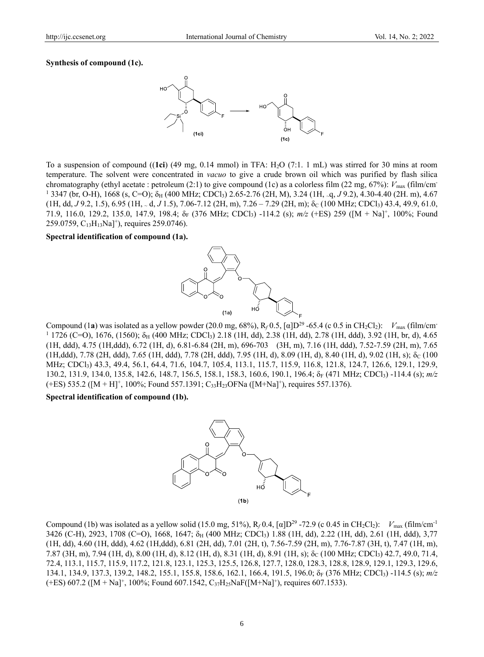## **Synthesis of compound (1c).**



To a suspension of compound ((**1ci**) (49 mg, 0.14 mmol) in TFA: H2O (7:1. 1 mL) was stirred for 30 mins at room temperature. The solvent were concentrated in *vacuo* to give a crude brown oil which was purified by flash silica chromatography (ethyl acetate : petroleum (2:1) to give compound (1c) as a colorless film (22 mg, 67%):  $V_{\text{max}}$  (film/cm<sup>-</sup>  $1\,3347$  (br, O-H), 1668 (s, C=O);  $\delta_H$  (400 MHz; CDCl<sub>3</sub>) 2.65-2.76 (2H, M), 3.24 (1H, ~q, *J* 9.2), 4.30-4.40 (2H. m), 4.67 (1H, dd, *J* 9.2, 1.5), 6.95 (1H, <sup>~</sup> d, *J* 1.5), 7.06-7.12 (2H, m), 7.26 – 7.29 (2H, m); ẟ<sup>C</sup> (100 MHz; CDCl3) 43.4, 49.9, 61.0, 71.9, 116.0, 129.2, 135.0, 147.9, 198.4;  $\delta_F$  (376 MHz; CDCl<sub>3</sub>) -114.2 (s); *m/z* (+ES) 259 ([M + Na]<sup>+</sup>, 100%; Found 259.0759,  $C_{13}H_{13}Na$ ]<sup>+</sup>), requires 259.0746).

## **Spectral identification of compound (1a).**



Compound (1**a**) was isolated as a yellow powder (20.0 mg, 68%), R<sub>f</sub> 0.5, [α]D<sup>29</sup> -65.4 (с 0.5 in CH<sub>2</sub>Cl<sub>2</sub>): *V*<sub>max</sub> (film/cm<sup>-</sup>  $11726$  (C=O), 1676, (1560);  $\delta_H$  (400 MHz; CDCl<sub>3</sub>) 2.18 (1H, dd), 2.38 (1H, dd), 2.78 (1H, ddd), 3.92 (1H, br, d), 4.65 (1H, ddd), 4.75 (1H,ddd), 6.72 (1H, d), 6.81-6.84 (2H, m), 696-703 (3H, m), 7.16 (1H, ddd), 7.52-7.59 (2H, m), 7.65  $(1H, ddd), 7.78$   $(2H, ddd), 7.65$   $(1H, ddd), 7.78$   $(2H, ddd), 7.95$   $(1H, d), 8.09$   $(1H, d), 8.40$   $(1H, d), 9.02$   $(1H, s)$ ;  $\delta_c$   $(100$ MHz; CDCl3) 43.3, 49.4, 56.1, 64.4, 71.6, 104.7, 105.4, 113.1, 115.7, 115.9, 116.8, 121.8, 124.7, 126.6, 129.1, 129.9, 130.2, 131.9, 134.0, 135.8, 142.6, 148.7, 156.5, 158.1, 158.3, 160.6, 190.1, 196.4; ẟ<sup>F</sup> (471 MHz; CDCl3) -114.4 (s); *m/z*  $(+ES)$  535.2 ([M + H]<sup>+</sup>, 100%; Found 557.1391; C<sub>33</sub>H<sub>23</sub>OFNa ([M+Na]<sup>+</sup>), requires 557.1376).

**Spectral identification of compound (1b).**



Compound (1b) was isolated as a yellow solid (15.0 mg, 51%), R<sub>f</sub> 0.4, [ $\alpha$ ]D<sup>29</sup> -72.9 (c 0.45 in CH<sub>2</sub>Cl<sub>2</sub>): *V*<sub>max</sub> (film/cm<sup>-1</sup>) 3426 (C-H), 2923, 1708 (C=O), 1668, 1647;  $\delta_H$  (400 MHz; CDCl<sub>3</sub>) 1.88 (1H, dd), 2.22 (1H, dd), 2.61 (1H, ddd), 3,77 (1H, dd), 4.60 (1H, ddd), 4.62 (1H,ddd), 6.81 (2H, dd), 7.01 (2H, t), 7.56-7.59 (2H, m), 7.76-7.87 (3H, t), 7.47 (1H, m), 7.87 (3H, m), 7.94 (1H, d), 8.00 (1H, d), 8.12 (1H, d), 8.31 (1H, d), 8.91 (1H, s); ẟ<sup>C</sup> (100 MHz; CDCl3) 42.7, 49.0, 71.4, 72.4, 113.1, 115.7, 115.9, 117.2, 121.8, 123.1, 125.3, 125.5, 126.8, 127.7, 128.0, 128.3, 128.8, 128.9, 129.1, 129.3, 129.6, 134.1, 134.9, 137.3, 139.2, 148.2, 155.1, 155.8, 158.6, 162.1, 166.4, 191.5, 196.0;  $\delta_F$  (376 MHz; CDCl<sub>3</sub>) -114.5 (s); *m/z*  $(+ES)$  607.2 ([M + Na]<sup>+</sup>, 100%; Found 607.1542, C<sub>37</sub>H<sub>25</sub>NaF([M+Na]<sup>+</sup>), requires 607.1533).